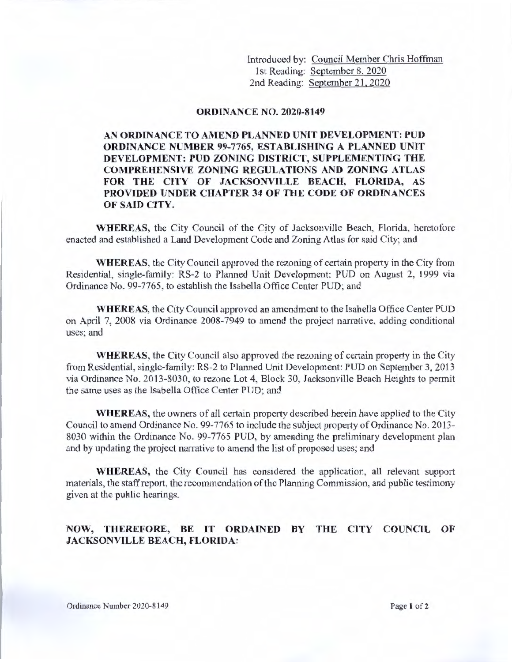Introduced by: Council Member Chris Hoffman 1st Reading: September 8. 2020 2nd Reading: September 21, 2020

## **ORDINANCE NO. 2020-8149**

## **AN ORDINANCE TO AMEND PLANNED UNIT DEVELOPMENT: PUD ORDINANCE NUMBER 99-7765, ESTABLISHING A PLANNED UNIT DEVELOPMENT: PUD ZONING DISTRICT, SUPPLEMENTING THE COMPREHENSIVE ZONING REGULATIONS AND ZONING ATLAS FOR THE CITY OF JACKSONVILLE BEACH, FLORIDA, AS PROVIDED UNDER CHAPTER 34 OF THE CODE OF ORDINANCES OF SAID CITY.**

**WHEREAS,** the City Council of the City of Jacksonville Beach, Florida, heretofore enacted and established a Land Development Code and Zoning Atlas for said City; and

**WHEREAS,** the City Council approved the rezoning of certain property in the City from Residential, single-family: RS-2 to Planned Unit Development: PUD on August 2, 1999 via Ordinance No. 99-7765, to establish the Isabella Office Center PUD; and

**WHEREAS,** the City Council approved an amendment to the Isabella Office Center PUD on April 7, 2008 via Ordinance 2008-7949 to amend the project narrative, adding conditional uses; and

**WHEREAS,** the City Council also approved the rezoning of certain property in the City from Residential, single-family: RS-2 to Planned Unit Development: PUD on September 3, 2013 via Ordinance No. 2013-8030, to rezone Lot 4, Block 30, Jacksonville Beach Heights to permit the same uses as the Isabella Office Center PUD; and

**WHEREAS,** the owners of all certain property described herein have applied to the City Council to amend Ordinance No. 99-7765 to include the subject property of Ordinance No. 2013- 8030 within the Ordinance No. 99-7765 PUD, by amending the preliminary development plan and by updating the project narrative to amend the list of proposed uses; and

**WHEREAS,** the City Council has considered the application, all relevant support materials, the staff report, the recommendation of the Planning Commission, and public testimony given at the public hearings.

## **NOW, THEREFORE, BE IT ORDAINED BY THE CITY COUNCIL OF JACKSONVILLE BEACH, FLORIDA:**

Ordinance Number 2020-8149 **Page 1 of 2 Page 1 of 2**